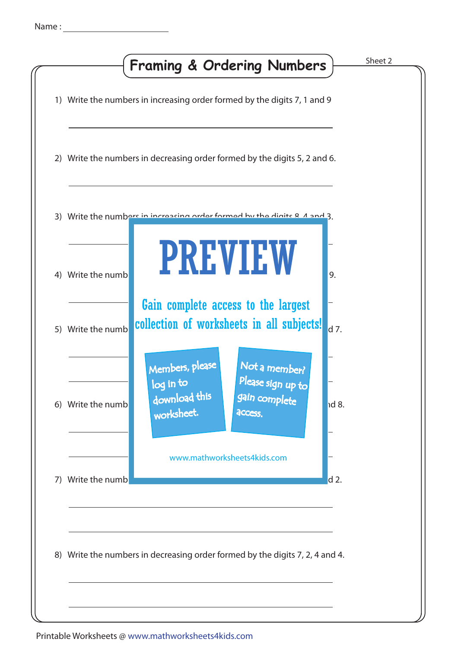|    | Sheet 2<br><b>Framing &amp; Ordering Numbers</b>                                                                                                            |
|----|-------------------------------------------------------------------------------------------------------------------------------------------------------------|
|    | 1) Write the numbers in increasing order formed by the digits 7, 1 and 9                                                                                    |
|    | 2) Write the numbers in decreasing order formed by the digits 5, 2 and 6.                                                                                   |
|    | 3) Write the numbers in increasing order formed by the digits 8 1 and 3.                                                                                    |
| 4) | <b>PREVIEW</b><br>Write the numb<br>9.                                                                                                                      |
|    | Gain complete access to the largest<br>collection of worksheets in all subjects!<br>$d$ 7.<br>5) Write the numb                                             |
|    | Members, please<br>Not a member?<br>Please sign up to<br>log in to<br>download this<br>gain complete<br>6) Write the numb<br>1d 8.<br>worksheet.<br>access. |
| 7) | www.mathworksheets4kids.com<br>Write the numb<br>d 2.                                                                                                       |
|    | 8) Write the numbers in decreasing order formed by the digits 7, 2, 4 and 4.                                                                                |
|    |                                                                                                                                                             |

## Printable Worksheets @ www.mathworksheets4kids.com